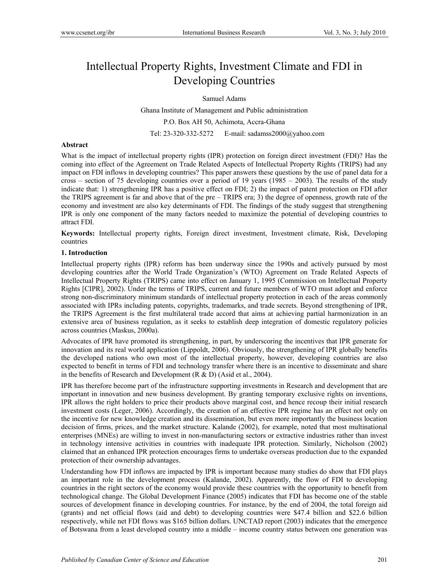# Intellectual Property Rights, Investment Climate and FDI in Developing Countries

Samuel Adams

Ghana Institute of Management and Public administration P.O. Box AH 50, Achimota, Accra-Ghana

Tel: 23-320-332-5272 E-mail: sadamss2000@yahoo.com

# **Abstract**

What is the impact of intellectual property rights (IPR) protection on foreign direct investment (FDI)? Has the coming into effect of the Agreement on Trade Related Aspects of Intellectual Property Rights (TRIPS) had any impact on FDI inflows in developing countries? This paper answers these questions by the use of panel data for a cross – section of 75 developing countries over a period of 19 years (1985 – 2003). The results of the study indicate that: 1) strengthening IPR has a positive effect on FDI; 2) the impact of patent protection on FDI after the TRIPS agreement is far and above that of the pre – TRIPS era; 3) the degree of openness, growth rate of the economy and investment are also key determinants of FDI. The findings of the study suggest that strengthening IPR is only one component of the many factors needed to maximize the potential of developing countries to attract FDI.

**Keywords:** Intellectual property rights, Foreign direct investment, Investment climate, Risk, Developing countries

# **1. Introduction**

Intellectual property rights (IPR) reform has been underway since the 1990s and actively pursued by most developing countries after the World Trade Organization's (WTO) Agreement on Trade Related Aspects of Intellectual Property Rights (TRIPS) came into effect on January 1, 1995 (Commission on Intellectual Property Rights [CIPR], 2002). Under the terms of TRIPS, current and future members of WTO must adopt and enforce strong non-discriminatory minimum standards of intellectual property protection in each of the areas commonly associated with IPRs including patents, copyrights, trademarks, and trade secrets. Beyond strengthening of IPR, the TRIPS Agreement is the first multilateral trade accord that aims at achieving partial harmonization in an extensive area of business regulation, as it seeks to establish deep integration of domestic regulatory policies across countries (Maskus, 2000a).

Advocates of IPR have promoted its strengthening, in part, by underscoring the incentives that IPR generate for innovation and its real world application (Lippoldt, 2006). Obviously, the strengthening of IPR globally benefits the developed nations who own most of the intellectual property, however, developing countries are also expected to benefit in terms of FDI and technology transfer where there is an incentive to disseminate and share in the benefits of Research and Development (R & D) (Asid et al., 2004).

IPR has therefore become part of the infrastructure supporting investments in Research and development that are important in innovation and new business development. By granting temporary exclusive rights on inventions, IPR allows the right holders to price their products above marginal cost, and hence recoup their initial research investment costs (Leger, 2006). Accordingly, the creation of an effective IPR regime has an effect not only on the incentive for new knowledge creation and its dissemination, but even more importantly the business location decision of firms, prices, and the market structure. Kalande (2002), for example, noted that most multinational enterprises (MNEs) are willing to invest in non-manufacturing sectors or extractive industries rather than invest in technology intensive activities in countries with inadequate IPR protection. Similarly, Nicholson (2002) claimed that an enhanced IPR protection encourages firms to undertake overseas production due to the expanded protection of their ownership advantages.

Understanding how FDI inflows are impacted by IPR is important because many studies do show that FDI plays an important role in the development process (Kalande, 2002). Apparently, the flow of FDI to developing countries in the right sectors of the economy would provide these countries with the opportunity to benefit from technological change. The Global Development Finance (2005) indicates that FDI has become one of the stable sources of development finance in developing countries. For instance, by the end of 2004, the total foreign aid (grants) and net official flows (aid and debt) to developing countries were \$47.4 billion and \$22.6 billion respectively, while net FDI flows was \$165 billion dollars. UNCTAD report (2003) indicates that the emergence of Botswana from a least developed country into a middle – income country status between one generation was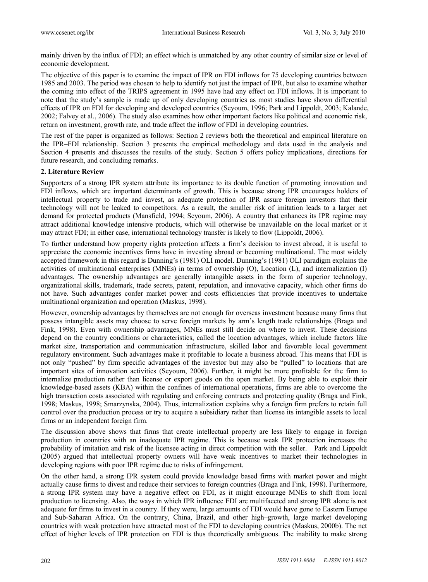mainly driven by the influx of FDI; an effect which is unmatched by any other country of similar size or level of economic development.

The objective of this paper is to examine the impact of IPR on FDI inflows for 75 developing countries between 1985 and 2003. The period was chosen to help to identify not just the impact of IPR, but also to examine whether the coming into effect of the TRIPS agreement in 1995 have had any effect on FDI inflows. It is important to note that the study's sample is made up of only developing countries as most studies have shown differential effects of IPR on FDI for developing and developed countries (Seyoum, 1996; Park and Lippoldt, 2003; Kalande, 2002; Falvey et al., 2006). The study also examines how other important factors like political and economic risk, return on investment, growth rate, and trade affect the inflow of FDI in developing countries.

The rest of the paper is organized as follows: Section 2 reviews both the theoretical and empirical literature on the IPR–FDI relationship. Section 3 presents the empirical methodology and data used in the analysis and Section 4 presents and discusses the results of the study. Section 5 offers policy implications, directions for future research, and concluding remarks.

# **2. Literature Review**

Supporters of a strong IPR system attribute its importance to its double function of promoting innovation and FDI inflows, which are important determinants of growth. This is because strong IPR encourages holders of intellectual property to trade and invest, as adequate protection of IPR assure foreign investors that their technology will not be leaked to competitors. As a result, the smaller risk of imitation leads to a larger net demand for protected products (Mansfield, 1994; Seyoum, 2006). A country that enhances its IPR regime may attract additional knowledge intensive products, which will otherwise be unavailable on the local market or it may attract FDI; in either case, international technology transfer is likely to flow (Lippoldt, 2006).

To further understand how property rights protection affects a firm's decision to invest abroad, it is useful to appreciate the economic incentives firms have in investing abroad or becoming multinational. The most widely accepted framework in this regard is Dunning's (1981) OLI model. Dunning's (1981) OLI paradigm explains the activities of multinational enterprises (MNEs) in terms of ownership (O), Location (L), and internalization (I) advantages. The ownership advantages are generally intangible assets in the form of superior technology, organizational skills, trademark, trade secrets, patent, reputation, and innovative capacity, which other firms do not have. Such advantages confer market power and costs efficiencies that provide incentives to undertake multinational organization and operation (Maskus, 1998).

However, ownership advantages by themselves are not enough for overseas investment because many firms that possess intangible assets may choose to serve foreign markets by arm's length trade relationships (Braga and Fink, 1998). Even with ownership advantages, MNEs must still decide on where to invest. These decisions depend on the country conditions or characteristics, called the location advantages, which include factors like market size, transportation and communication infrastructure, skilled labor and favorable local government regulatory environment. Such advantages make it profitable to locate a business abroad. This means that FDI is not only "pushed" by firm specific advantages of the investor but may also be "pulled" to locations that are important sites of innovation activities (Seyoum, 2006). Further, it might be more profitable for the firm to internalize production rather than license or export goods on the open market. By being able to exploit their knowledge-based assets (KBA) within the confines of international operations, firms are able to overcome the high transaction costs associated with regulating and enforcing contracts and protecting quality (Braga and Fink, 1998; Maskus, 1998; Smarzynska, 2004). Thus, internalization explains why a foreign firm prefers to retain full control over the production process or try to acquire a subsidiary rather than license its intangible assets to local firms or an independent foreign firm.

The discussion above shows that firms that create intellectual property are less likely to engage in foreign production in countries with an inadequate IPR regime. This is because weak IPR protection increases the probability of imitation and risk of the licensee acting in direct competition with the seller. Park and Lippoldt (2005) argued that intellectual property owners will have weak incentives to market their technologies in developing regions with poor IPR regime due to risks of infringement.

On the other hand, a strong IPR system could provide knowledge based firms with market power and might actually cause firms to divest and reduce their services to foreign countries (Braga and Fink, 1998). Furthermore, a strong IPR system may have a negative effect on FDI, as it might encourage MNEs to shift from local production to licensing. Also, the ways in which IPR influence FDI are multifaceted and strong IPR alone is not adequate for firms to invest in a country. If they were, large amounts of FDI would have gone to Eastern Europe and Sub-Saharan Africa. On the contrary, China, Brazil, and other high–growth, large market developing countries with weak protection have attracted most of the FDI to developing countries (Maskus, 2000b). The net effect of higher levels of IPR protection on FDI is thus theoretically ambiguous. The inability to make strong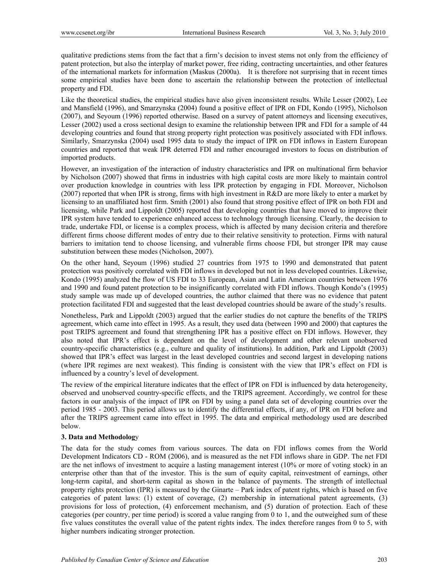qualitative predictions stems from the fact that a firm's decision to invest stems not only from the efficiency of patent protection, but also the interplay of market power, free riding, contracting uncertainties, and other features of the international markets for information (Maskus (2000a). It is therefore not surprising that in recent times some empirical studies have been done to ascertain the relationship between the protection of intellectual property and FDI.

Like the theoretical studies, the empirical studies have also given inconsistent results. While Lesser (2002), Lee and Mansfield (1996), and Smarzynska (2004) found a positive effect of IPR on FDI, Kondo (1995), Nicholson (2007), and Seyoum (1996) reported otherwise. Based on a survey of patent attorneys and licensing executives, Lesser (2002) used a cross sectional design to examine the relationship between IPR and FDI for a sample of 44 developing countries and found that strong property right protection was positively associated with FDI inflows. Similarly, Smarzynska (2004) used 1995 data to study the impact of IPR on FDI inflows in Eastern European countries and reported that weak IPR deterred FDI and rather encouraged investors to focus on distribution of imported products.

However, an investigation of the interaction of industry characteristics and IPR on multinational firm behavior by Nicholson (2007) showed that firms in industries with high capital costs are more likely to maintain control over production knowledge in countries with less IPR protection by engaging in FDI. Moreover, Nicholson (2007) reported that when IPR is strong, firms with high investment in R&D are more likely to enter a market by licensing to an unaffiliated host firm. Smith (2001) also found that strong positive effect of IPR on both FDI and licensing, while Park and Lippoldt (2005) reported that developing countries that have moved to improve their IPR system have tended to experience enhanced access to technology through licensing. Clearly, the decision to trade, undertake FDI, or license is a complex process, which is affected by many decision criteria and therefore different firms choose different modes of entry due to their relative sensitivity to protection. Firms with natural barriers to imitation tend to choose licensing, and vulnerable firms choose FDI, but stronger IPR may cause substitution between these modes (Nicholson, 2007).

On the other hand, Seyoum (1996) studied 27 countries from 1975 to 1990 and demonstrated that patent protection was positively correlated with FDI inflows in developed but not in less developed countries. Likewise, Kondo (1995) analyzed the flow of US FDI to 33 European, Asian and Latin American countries between 1976 and 1990 and found patent protection to be insignificantly correlated with FDI inflows. Though Kondo's (1995) study sample was made up of developed countries, the author claimed that there was no evidence that patent protection facilitated FDI and suggested that the least developed countries should be aware of the study's results.

Nonetheless, Park and Lippoldt (2003) argued that the earlier studies do not capture the benefits of the TRIPS agreement, which came into effect in 1995. As a result, they used data (between 1990 and 2000) that captures the post TRIPS agreement and found that strengthening IPR has a positive effect on FDI inflows. However, they also noted that IPR's effect is dependent on the level of development and other relevant unobserved country-specific characteristics (e.g., culture and quality of institutions). In addition, Park and Lippoldt (2003) showed that IPR's effect was largest in the least developed countries and second largest in developing nations (where IPR regimes are next weakest). This finding is consistent with the view that IPR's effect on FDI is influenced by a country's level of development.

The review of the empirical literature indicates that the effect of IPR on FDI is influenced by data heterogeneity, observed and unobserved country-specific effects, and the TRIPS agreement. Accordingly, we control for these factors in our analysis of the impact of IPR on FDI by using a panel data set of developing countries over the period 1985 - 2003. This period allows us to identify the differential effects, if any, of IPR on FDI before and after the TRIPS agreement came into effect in 1995. The data and empirical methodology used are described below.

#### **3. Data and Methodolog**y

The data for the study comes from various sources. The data on FDI inflows comes from the World Development Indicators CD - ROM (2006), and is measured as the net FDI inflows share in GDP. The net FDI are the net inflows of investment to acquire a lasting management interest (10% or more of voting stock) in an enterprise other than that of the investor. This is the sum of equity capital, reinvestment of earnings, other long-term capital, and short-term capital as shown in the balance of payments. The strength of intellectual property rights protection (IPR) is measured by the Ginarte – Park index of patent rights, which is based on five categories of patent laws: (1) extent of coverage, (2) membership in international patent agreements, (3) provisions for loss of protection, (4) enforcement mechanism, and (5) duration of protection. Each of these categories (per country, per time period) is scored a value ranging from 0 to 1, and the outweighed sum of these five values constitutes the overall value of the patent rights index. The index therefore ranges from 0 to 5, with higher numbers indicating stronger protection.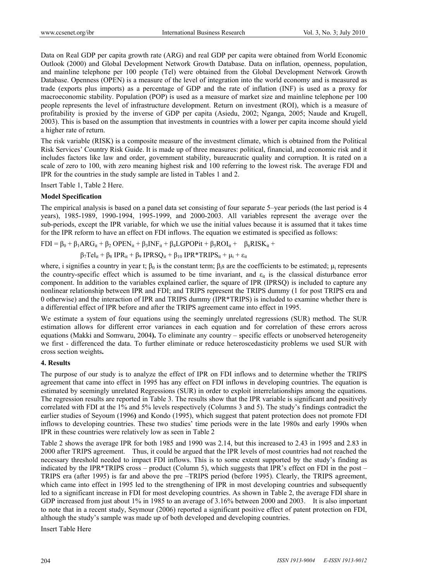Data on Real GDP per capita growth rate (ARG) and real GDP per capita were obtained from World Economic Outlook (2000) and Global Development Network Growth Database. Data on inflation, openness, population, and mainline telephone per 100 people (Tel) were obtained from the Global Development Network Growth Database. Openness (OPEN) is a measure of the level of integration into the world economy and is measured as trade (exports plus imports) as a percentage of GDP and the rate of inflation (INF) is used as a proxy for macroeconomic stability. Population (POP) is used as a measure of market size and mainline telephone per 100 people represents the level of infrastructure development. Return on investment (ROI), which is a measure of profitability is proxied by the inverse of GDP per capita (Asiedu, 2002; Nganga, 2005; Naude and Krugell, 2003). This is based on the assumption that investments in countries with a lower per capita income should yield a higher rate of return.

The risk variable (RISK) is a composite measure of the investment climate, which is obtained from the Political Risk Services' Country Risk Guide. It is made up of three measures: political, financial, and economic risk and it includes factors like law and order, government stability, bureaucratic quality and corruption. It is rated on a scale of zero to 100, with zero meaning highest risk and 100 referring to the lowest risk. The average FDI and IPR for the countries in the study sample are listed in Tables 1 and 2.

Insert Table 1, Table 2 Here.

#### **Model Specification**

The empirical analysis is based on a panel data set consisting of four separate 5–year periods (the last period is 4 years), 1985-1989, 1990-1994, 1995-1999, and 2000-2003. All variables represent the average over the sub-periods, except the IPR variable, for which we use the initial values because it is assumed that it takes time for the IPR reform to have an effect on FDI inflows. The equation we estimated is specified as follows:

$$
FDI = \beta_0 + \beta_1 ARG_{it} + \beta_2 OPEN_{it} + \beta_3 INF_{it} + \beta_4 LGPOPit + \beta_5 ROI_{it} + \beta_6 RISK_{it} + \beta_7 Tel_{it} + \beta_8 IPR_{it} + \beta_9 IPRSQ_{it} + \beta_{10 IPR*TRIPS_{it} + \mu_i + \epsilon_{it}}
$$

where, i signifies a country in year t;  $\beta_0$  is the constant term;  $\beta_i$ s are the coefficients to be estimated;  $\mu_i$  represents the country-specific effect which is assumed to be time invariant, and  $\varepsilon_{it}$  is the classical disturbance error component. In addition to the variables explained earlier, the square of IPR (IPRSQ) is included to capture any nonlinear relationship between IPR and FDI; and TRIPS represent the TRIPS dummy (1 for post TRIPS era and 0 otherwise) and the interaction of IPR and TRIPS dummy (IPR\*TRIPS) is included to examine whether there is a differential effect of IPR before and after the TRIPS agreement came into effect in 1995.

We estimate a system of four equations using the seemingly unrelated regressions (SUR) method. The SUR estimation allows for different error variances in each equation and for correlation of these errors across equations (Makki and Somwaru, 2004**).** To eliminate any country – specific effects or unobserved heterogeneity we first - differenced the data. To further eliminate or reduce heteroscedasticity problems we used SUR with cross section weights**.** 

#### **4. Results**

The purpose of our study is to analyze the effect of IPR on FDI inflows and to determine whether the TRIPS agreement that came into effect in 1995 has any effect on FDI inflows in developing countries. The equation is estimated by seemingly unrelated Regressions (SUR) in order to exploit interrelationships among the equations. The regression results are reported in Table 3. The results show that the IPR variable is significant and positively correlated with FDI at the 1% and 5% levels respectively (Columns 3 and 5). The study's findings contradict the earlier studies of Seyoum (1996**)** and Kondo (1995), which suggest that patent protection does not promote FDI inflows to developing countries. These two studies' time periods were in the late 1980s and early 1990s when IPR in these countries were relatively low as seen in Table 2

Table 2 shows the average IPR for both 1985 and 1990 was 2.14, but this increased to 2.43 in 1995 and 2.83 in 2000 after TRIPS agreement. Thus, it could be argued that the IPR levels of most countries had not reached the necessary threshold needed to impact FDI inflows. This is to some extent supported by the study's finding as indicated by the IPR\*TRIPS cross – product (Column 5), which suggests that IPR's effect on FDI in the post – TRIPS era (after 1995) is far and above the pre –TRIPS period (before 1995). Clearly, the TRIPS agreement, which came into effect in 1995 led to the strengthening of IPR in most developing countries and subsequently led to a significant increase in FDI for most developing countries. As shown in Table 2, the average FDI share in GDP increased from just about 1% in 1985 to an average of 3.16% between 2000 and 2003. It is also important to note that in a recent study, Seymour (2006) reported a significant positive effect of patent protection on FDI, although the study's sample was made up of both developed and developing countries.

Insert Table Here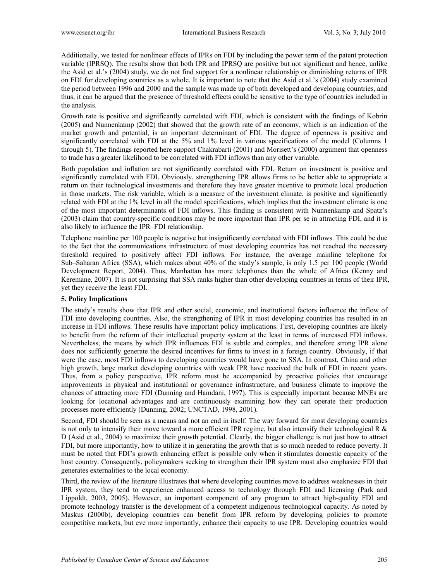Additionally, we tested for nonlinear effects of IPRs on FDI by including the power term of the patent protection variable (IPRSQ). The results show that both IPR and IPRSQ are positive but not significant and hence, unlike the Asid et al.'s (2004) study, we do not find support for a nonlinear relationship or diminishing returns of IPR on FDI for developing countries as a whole. It is important to note that the Asid et al.'s (2004) study examined the period between 1996 and 2000 and the sample was made up of both developed and developing countries, and thus, it can be argued that the presence of threshold effects could be sensitive to the type of countries included in the analysis.

Growth rate is positive and significantly correlated with FDI, which is consistent with the findings of Kobrin (2005) and Nunnenkamp (2002) that showed that the growth rate of an economy, which is an indication of the market growth and potential, is an important determinant of FDI. The degree of openness is positive and significantly correlated with FDI at the 5% and 1% level in various specifications of the model (Columns 1 through 5). The findings reported here support Chakrabarti (2001) and Morisett's (2000) argument that openness to trade has a greater likelihood to be correlated with FDI inflows than any other variable.

Both population and inflation are not significantly correlated with FDI. Return on investment is positive and significantly correlated with FDI. Obviously, strengthening IPR allows firms to be better able to appropriate a return on their technological investments and therefore they have greater incentive to promote local production in those markets. The risk variable, which is a measure of the investment climate, is positive and significantly related with FDI at the 1% level in all the model specifications, which implies that the investment climate is one of the most important determinants of FDI inflows. This finding is consistent with Nunnenkamp and Spatz's (2003) claim that country-specific conditions may be more important than IPR per se in attracting FDI, and it is also likely to influence the IPR–FDI relationship.

Telephone mainline per 100 people is negative but insignificantly correlated with FDI inflows. This could be due to the fact that the communications infrastructure of most developing countries has not reached the necessary threshold required to positively affect FDI inflows. For instance, the average mainline telephone for Sub–Saharan Africa (SSA), which makes about 40% of the study's sample, is only 1.5 per 100 people (World Development Report, 2004). Thus, Manhattan has more telephones than the whole of Africa (Kenny and Keremane, 2007). It is not surprising that SSA ranks higher than other developing countries in terms of their IPR, yet they receive the least FDI.

# **5. Policy Implications**

The study's results show that IPR and other social, economic, and institutional factors influence the inflow of FDI into developing countries. Also, the strengthening of IPR in most developing countries has resulted in an increase in FDI inflows. These results have important policy implications. First, developing countries are likely to benefit from the reform of their intellectual property system at the least in terms of increased FDI inflows. Nevertheless, the means by which IPR influences FDI is subtle and complex, and therefore strong IPR alone does not sufficiently generate the desired incentives for firms to invest in a foreign country. Obviously, if that were the case, most FDI inflows to developing countries would have gone to SSA. In contrast, China and other high growth, large market developing countries with weak IPR have received the bulk of FDI in recent years. Thus, from a policy perspective, IPR reform must be accompanied by proactive policies that encourage improvements in physical and institutional or governance infrastructure, and business climate to improve the chances of attracting more FDI (Dunning and Hamdani, 1997). This is especially important because MNEs are looking for locational advantages and are continuously examining how they can operate their production processes more efficiently (Dunning, 2002; UNCTAD, 1998, 2001).

Second, FDI should be seen as a means and not an end in itself. The way forward for most developing countries is not only to intensify their move toward a more efficient IPR regime, but also intensify their technological R  $\&$ D (Asid et al., 2004) to maximize their growth potential. Clearly, the bigger challenge is not just how to attract FDI, but more importantly, how to utilize it in generating the growth that is so much needed to reduce poverty. It must be noted that FDI's growth enhancing effect is possible only when it stimulates domestic capacity of the host country. Consequently, policymakers seeking to strengthen their IPR system must also emphasize FDI that generates externalities to the local economy.

Third, the review of the literature illustrates that where developing countries move to address weaknesses in their IPR system, they tend to experience enhanced access to technology through FDI and licensing (Park and Lippoldt, 2003, 2005). However, an important component of any program to attract high-quality FDI and promote technology transfer is the development of a competent indigenous technological capacity. As noted by Maskus (2000b), developing countries can benefit from IPR reform by developing policies to promote competitive markets, but eve more importantly, enhance their capacity to use IPR. Developing countries would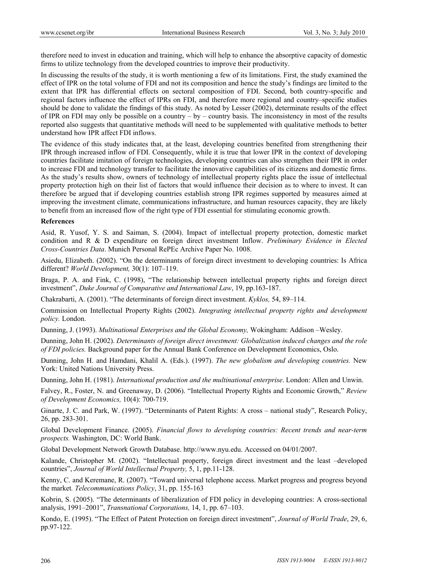therefore need to invest in education and training, which will help to enhance the absorptive capacity of domestic firms to utilize technology from the developed countries to improve their productivity.

In discussing the results of the study, it is worth mentioning a few of its limitations. First, the study examined the effect of IPR on the total volume of FDI and not its composition and hence the study's findings are limited to the extent that IPR has differential effects on sectoral composition of FDI. Second, both country-specific and regional factors influence the effect of IPRs on FDI, and therefore more regional and country–specific studies should be done to validate the findings of this study. As noted by Lesser (2002), determinate results of the effect of IPR on FDI may only be possible on a country – by – country basis. The inconsistency in most of the results reported also suggests that quantitative methods will need to be supplemented with qualitative methods to better understand how IPR affect FDI inflows.

The evidence of this study indicates that, at the least, developing countries benefited from strengthening their IPR through increased inflow of FDI. Consequently, while it is true that lower IPR in the context of developing countries facilitate imitation of foreign technologies, developing countries can also strengthen their IPR in order to increase FDI and technology transfer to facilitate the innovative capabilities of its citizens and domestic firms. As the study's results show, owners of technology of intellectual property rights place the issue of intellectual property protection high on their list of factors that would influence their decision as to where to invest. It can therefore be argued that if developing countries establish strong IPR regimes supported by measures aimed at improving the investment climate, communications infrastructure, and human resources capacity, they are likely to benefit from an increased flow of the right type of FDI essential for stimulating economic growth.

#### **References**

Asid, R. Yusof, Y. S. and Saiman, S. (2004). Impact of intellectual property protection, domestic market condition and R & D expenditure on foreign direct investment Inflow. *Preliminary Evidence in Elected Cross-Countries Data*. Munich Personal RePEc Archive Paper No. 1008.

Asiedu, Elizabeth. (2002). "On the determinants of foreign direct investment to developing countries: Is Africa different? *World Development,* 30(1): 107–119.

Braga, P. A. and Fink, C. (1998), "The relationship between intellectual property rights and foreign direct investment", *Duke Journal of Comparative and International Law*, 19, pp.163-187.

Chakrabarti, A. (2001). "The determinants of foreign direct investment. *Kyklos,* 54, 89–114.

Commission on Intellectual Property Rights (2002). *Integrating intellectual property rights and development policy.* London.

Dunning, J. (1993). *Multinational Enterprises and the Global Economy,* Wokingham: Addison –Wesley.

Dunning, John H. (2002). *Determinants of foreign direct investment: Globalization induced changes and the role of FDI policies.* Background paper for the Annual Bank Conference on Development Economics, Oslo.

Dunning, John H. and Hamdani, Khalil A. (Eds.). (1997). *The new globalism and developing countries.* New York: United Nations University Press.

Dunning, John H. (1981). *International production and the multinational enterprise*. London: Allen and Unwin.

Falvey, R., Foster, N. and Greenaway, D. (2006). "Intellectual Property Rights and Economic Growth," *Review of Development Economics,* 10(4): 700-719.

Ginarte, J. C. and Park, W. (1997). "Determinants of Patent Rights: A cross – national study", Research Policy, 26, pp. 283-301.

Global Development Finance. (2005). *Financial flows to developing countries: Recent trends and near-term prospects.* Washington, DC: World Bank.

Global Development Network Growth Database. http://www.nyu.edu. Accessed on 04/01/2007.

Kalande, Christopher M. (2002). "Intellectual property, foreign direct investment and the least –developed countries", *Journal of World Intellectual Property,* 5, 1, pp.11-128.

Kenny, C. and Keremane, R. (2007). "Toward universal telephone access. Market progress and progress beyond the market*. Telecommunications Policy*, 31, pp. 155-163

Kobrin, S. (2005). "The determinants of liberalization of FDI policy in developing countries: A cross-sectional analysis, 1991–2001", *Transnational Corporations,* 14, 1, pp. 67–103.

Kondo, E. (1995). "The Effect of Patent Protection on foreign direct investment", *Journal of World Trade*, 29, 6, pp.97-122.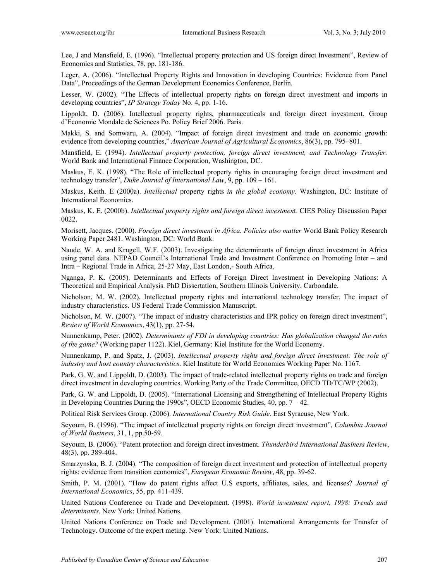Lee, J and Mansfield, E. (1996). "Intellectual property protection and US foreign direct Investment", Review of Economics and Statistics, 78, pp. 181-186.

Leger, A. (2006). "Intellectual Property Rights and Innovation in developing Countries: Evidence from Panel Data", Proceedings of the German Development Economics Conference, Berlin.

Lesser, W. (2002). "The Effects of intellectual property rights on foreign direct investment and imports in developing countries", *IP Strategy Today* No. 4, pp. 1-16.

Lippoldt, D. (2006). Intellectual property rights, pharmaceuticals and foreign direct investment. Group d'Economie Mondale de Sciences Po. Policy Brief 2006. Paris.

Makki, S. and Somwaru, A. (2004). "Impact of foreign direct investment and trade on economic growth: evidence from developing countries," *American Journal of Agricultural Economics*, 86(3), pp. 795–801.

Mansfield, E. (1994). *Intellectual property protection, foreign direct investment, and Technology Transfer.* World Bank and International Finance Corporation, Washington, DC.

Maskus, E. K. (1998). "The Role of intellectual property rights in encouraging foreign direct investment and technology transfer", *Duke Journal of International Law*, 9, pp. 109 – 161.

Maskus, Keith. E (2000a). *Intellectual* property rights *in the global economy*. Washington, DC: Institute of International Economics.

Maskus, K. E. (2000b). *Intellectual property rights and foreign direct investmen*t. CIES Policy Discussion Paper 0022.

Morisett, Jacques. (2000). *Foreign direct investment in Africa. Policies also matter* World Bank Policy Research Working Paper 2481. Washington, DC: World Bank.

Naude, W. A. and Krugell, W.F. (2003). Investigating the determinants of foreign direct investment in Africa using panel data. NEPAD Council's International Trade and Investment Conference on Promoting Inter – and Intra – Regional Trade in Africa, 25-27 May, East London,- South Africa.

Nganga, P. K. (2005). Determinants and Effects of Foreign Direct Investment in Developing Nations: A Theoretical and Empirical Analysis. PhD Dissertation, Southern Illinois University, Carbondale.

Nicholson, M. W. (2002). Intellectual property rights and international technology transfer. The impact of industry characteristics. US Federal Trade Commission Manuscript.

Nicholson, M. W. (2007). "The impact of industry characteristics and IPR policy on foreign direct investment", *Review of World Economics*, 43(1), pp. 27-54.

Nunnenkamp, Peter. (2002). *Determinants of FDI in developing countries: Has globalization changed the rules of the game?* (Working paper 1122). Kiel, Germany: Kiel Institute for the World Economy.

Nunnenkamp, P. and Spatz, J. (2003). *Intellectual property rights and foreign direct investment: The role of industry and host country characteristics*. Kiel Institute for World Economics Working Paper No. 1167.

Park, G. W. and Lippoldt, D. (2003). The impact of trade-related intellectual property rights on trade and foreign direct investment in developing countries. Working Party of the Trade Committee, OECD TD/TC/WP (2002).

Park, G. W. and Lippoldt, D. (2005). "International Licensing and Strengthening of Intellectual Property Rights in Developing Countries During the 1990s", OECD Economic Studies, 40, pp. 7 – 42.

Political Risk Services Group. (2006). *International Country Risk Guide*. East Syracuse, New York.

Seyoum, B. (1996). "The impact of intellectual property rights on foreign direct investment", *Columbia Journal of World Business*, 31, 1, pp.50-59.

Seyoum, B. (2006). "Patent protection and foreign direct investment. *Thunderbird International Business Review*, 48(3), pp. 389-404.

Smarzynska, B. J. (2004). "The composition of foreign direct investment and protection of intellectual property rights: evidence from transition economies", *European Economic Review*, 48, pp. 39-62.

Smith, P. M. (2001). "How do patent rights affect U.S exports, affiliates, sales, and licenses? *Journal of International Economics*, 55, pp. 411-439.

United Nations Conference on Trade and Development. (1998). *World investment report, 1998: Trends and determinants.* New York: United Nations.

United Nations Conference on Trade and Development. (2001). International Arrangements for Transfer of Technology. Outcome of the expert meting. New York: United Nations.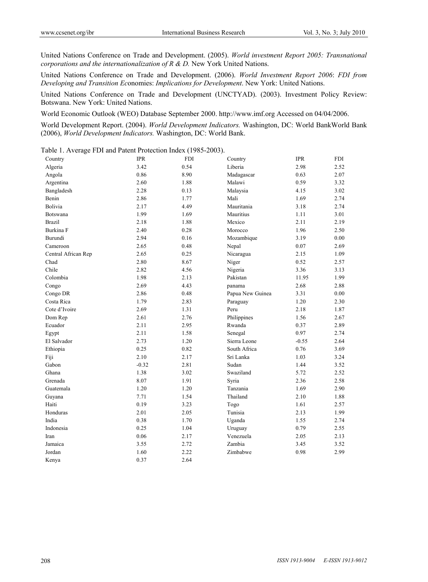United Nations Conference on Trade and Development. (2005). *World investment Report 2005: Transnational corporations and the internationalization of R & D.* New York United Nations.

United Nations Conference on Trade and Development. (2006). *World Investment Report 2006*: *FDI from Developing and Transition Ec*onomies: *Implications for Development*. New York: United Nations.

United Nations Conference on Trade and Development (UNCTYAD). (2003). Investment Policy Review: Botswana. New York: United Nations.

World Economic Outlook (WEO) Database September 2000. http://www.imf.org Accessed on 04/04/2006.

World Development Report. (2004). *World Development Indicators.* Washington, DC: World BankWorld Bank (2006), *World Development Indicators.* Washington, DC: World Bank.

Table 1. Average FDI and Patent Protection Index (1985-2003).

| Country             | <b>IPR</b> | <b>FDI</b> | Country          | <b>IPR</b> | <b>FDI</b> |
|---------------------|------------|------------|------------------|------------|------------|
| Algeria             | 3.42       | 0.54       | Liberia          | 2.98       | 2.52       |
| Angola              | 0.86       | 8.90       | Madagascar       | 0.63       | 2.07       |
| Argentina           | 2.60       | 1.88       | Malawi           | 0.59       | 3.32       |
| Bangladesh          | 2.28       | 0.13       | Malaysia         | 4.15       | 3.02       |
| Benin               | 2.86       | 1.77       | Mali             | 1.69       | 2.74       |
| Bolivia             | 2.17       | 4.49       | Mauritania       | 3.18       | 2.74       |
| Botswana            | 1.99       | 1.69       | Mauritius        | 1.11       | 3.01       |
| <b>Brazil</b>       | 2.18       | 1.88       | Mexico           | 2.11       | 2.19       |
| Burkina F           | 2.40       | 0.28       | Morocco          | 1.96       | 2.50       |
| Burundi             | 2.94       | 0.16       | Mozambique       | 3.19       | 0.00       |
| Cameroon            | 2.65       | 0.48       | Nepal            | 0.07       | 2.69       |
| Central African Rep | 2.65       | 0.25       | Nicaragua        | 2.15       | 1.09       |
| Chad                | 2.80       | 8.67       | Niger            | 0.52       | 2.57       |
| Chile               | 2.82       | 4.56       | Nigeria          | 3.36       | 3.13       |
| Colombia            | 1.98       | 2.13       | Pakistan         | 11.95      | 1.99       |
| Congo               | 2.69       | 4.43       | panama           | 2.68       | 2.88       |
| Congo DR            | 2.86       | 0.48       | Papua New Guinea | 3.31       | 0.00       |
| Costa Rica          | 1.79       | 2.83       | Paraguay         | 1.20       | 2.30       |
| Cote d'Ivoire       | 2.69       | 1.31       | Peru             | 2.18       | 1.87       |
| Dom Rep             | 2.61       | 2.76       | Philippines      | 1.56       | 2.67       |
| Ecuador             | 2.11       | 2.95       | Rwanda           | 0.37       | 2.89       |
| Egypt               | 2.11       | 1.58       | Senegal          | 0.97       | 2.74       |
| El Salvador         | 2.73       | 1.20       | Sierra Leone     | $-0.55$    | 2.64       |
| Ethiopia            | 0.25       | 0.82       | South Africa     | 0.76       | 3.69       |
| Fiji                | 2.10       | 2.17       | Sri Lanka        | 1.03       | 3.24       |
| Gabon               | $-0.32$    | 2.81       | Sudan            | 1.44       | 3.52       |
| Ghana               | 1.38       | 3.02       | Swaziland        | 5.72       | 2.52       |
| Grenada             | 8.07       | 1.91       | Syria            | 2.36       | 2.58       |
| Guatemala           | 1.20       | 1.20       | Tanzania         | 1.69       | 2.90       |
| Guyana              | 7.71       | 1.54       | Thailand         | 2.10       | 1.88       |
| Haiti               | 0.19       | 3.23       | Togo             | 1.61       | 2.57       |
| Honduras            | 2.01       | 2.05       | Tunisia          | 2.13       | 1.99       |
| India               | 0.38       | 1.70       | Uganda           | 1.55       | 2.74       |
| Indonesia           | 0.25       | 1.04       | Uruguay          | 0.79       | 2.55       |
| Iran                | 0.06       | 2.17       | Venezuela        | 2.05       | 2.13       |
| Jamaica             | 3.55       | 2.72       | Zambia           | 3.45       | 3.52       |
| Jordan              | 1.60       | 2.22       | Zimbabwe         | 0.98       | 2.99       |
| Kenya               | 0.37       | 2.64       |                  |            |            |